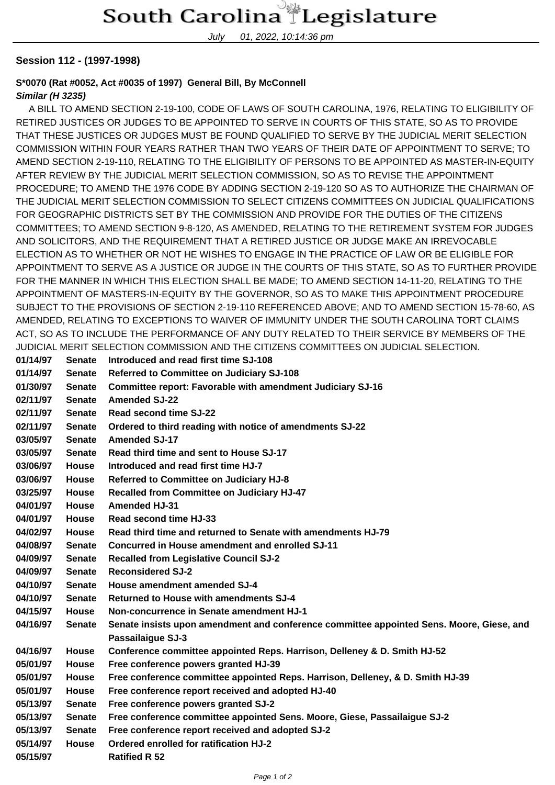July 01, 2022, 10:14:36 pm

## **Session 112 - (1997-1998)**

## **S\*0070 (Rat #0052, Act #0035 of 1997) General Bill, By McConnell**

## **Similar (H 3235)**

 A BILL TO AMEND SECTION 2-19-100, CODE OF LAWS OF SOUTH CAROLINA, 1976, RELATING TO ELIGIBILITY OF RETIRED JUSTICES OR JUDGES TO BE APPOINTED TO SERVE IN COURTS OF THIS STATE, SO AS TO PROVIDE THAT THESE JUSTICES OR JUDGES MUST BE FOUND QUALIFIED TO SERVE BY THE JUDICIAL MERIT SELECTION COMMISSION WITHIN FOUR YEARS RATHER THAN TWO YEARS OF THEIR DATE OF APPOINTMENT TO SERVE; TO AMEND SECTION 2-19-110, RELATING TO THE ELIGIBILITY OF PERSONS TO BE APPOINTED AS MASTER-IN-EQUITY AFTER REVIEW BY THE JUDICIAL MERIT SELECTION COMMISSION, SO AS TO REVISE THE APPOINTMENT PROCEDURE; TO AMEND THE 1976 CODE BY ADDING SECTION 2-19-120 SO AS TO AUTHORIZE THE CHAIRMAN OF THE JUDICIAL MERIT SELECTION COMMISSION TO SELECT CITIZENS COMMITTEES ON JUDICIAL QUALIFICATIONS FOR GEOGRAPHIC DISTRICTS SET BY THE COMMISSION AND PROVIDE FOR THE DUTIES OF THE CITIZENS COMMITTEES; TO AMEND SECTION 9-8-120, AS AMENDED, RELATING TO THE RETIREMENT SYSTEM FOR JUDGES AND SOLICITORS, AND THE REQUIREMENT THAT A RETIRED JUSTICE OR JUDGE MAKE AN IRREVOCABLE ELECTION AS TO WHETHER OR NOT HE WISHES TO ENGAGE IN THE PRACTICE OF LAW OR BE ELIGIBLE FOR APPOINTMENT TO SERVE AS A JUSTICE OR JUDGE IN THE COURTS OF THIS STATE, SO AS TO FURTHER PROVIDE FOR THE MANNER IN WHICH THIS ELECTION SHALL BE MADE; TO AMEND SECTION 14-11-20, RELATING TO THE APPOINTMENT OF MASTERS-IN-EQUITY BY THE GOVERNOR, SO AS TO MAKE THIS APPOINTMENT PROCEDURE SUBJECT TO THE PROVISIONS OF SECTION 2-19-110 REFERENCED ABOVE; AND TO AMEND SECTION 15-78-60, AS AMENDED, RELATING TO EXCEPTIONS TO WAIVER OF IMMUNITY UNDER THE SOUTH CAROLINA TORT CLAIMS ACT, SO AS TO INCLUDE THE PERFORMANCE OF ANY DUTY RELATED TO THEIR SERVICE BY MEMBERS OF THE JUDICIAL MERIT SELECTION COMMISSION AND THE CITIZENS COMMITTEES ON JUDICIAL SELECTION.

| 01/14/97 | <b>Senate</b> | Introduced and read first time SJ-108                                                    |
|----------|---------------|------------------------------------------------------------------------------------------|
| 01/14/97 | <b>Senate</b> | Referred to Committee on Judiciary SJ-108                                                |
| 01/30/97 | <b>Senate</b> | Committee report: Favorable with amendment Judiciary SJ-16                               |
| 02/11/97 | <b>Senate</b> | <b>Amended SJ-22</b>                                                                     |
| 02/11/97 | <b>Senate</b> | Read second time SJ-22                                                                   |
| 02/11/97 | <b>Senate</b> | Ordered to third reading with notice of amendments SJ-22                                 |
| 03/05/97 | <b>Senate</b> | <b>Amended SJ-17</b>                                                                     |
| 03/05/97 | <b>Senate</b> | Read third time and sent to House SJ-17                                                  |
| 03/06/97 | <b>House</b>  | Introduced and read first time HJ-7                                                      |
| 03/06/97 | <b>House</b>  | Referred to Committee on Judiciary HJ-8                                                  |
| 03/25/97 | <b>House</b>  | Recalled from Committee on Judiciary HJ-47                                               |
| 04/01/97 | <b>House</b>  | <b>Amended HJ-31</b>                                                                     |
| 04/01/97 | <b>House</b>  | Read second time HJ-33                                                                   |
| 04/02/97 | <b>House</b>  | Read third time and returned to Senate with amendments HJ-79                             |
| 04/08/97 | <b>Senate</b> | <b>Concurred in House amendment and enrolled SJ-11</b>                                   |
| 04/09/97 | <b>Senate</b> | <b>Recalled from Legislative Council SJ-2</b>                                            |
| 04/09/97 | <b>Senate</b> | <b>Reconsidered SJ-2</b>                                                                 |
| 04/10/97 | <b>Senate</b> | House amendment amended SJ-4                                                             |
| 04/10/97 | <b>Senate</b> | <b>Returned to House with amendments SJ-4</b>                                            |
| 04/15/97 | <b>House</b>  | Non-concurrence in Senate amendment HJ-1                                                 |
| 04/16/97 | <b>Senate</b> | Senate insists upon amendment and conference committee appointed Sens. Moore, Giese, and |
|          |               | <b>Passailaigue SJ-3</b>                                                                 |
| 04/16/97 | House         | Conference committee appointed Reps. Harrison, Delleney & D. Smith HJ-52                 |
| 05/01/97 | <b>House</b>  | Free conference powers granted HJ-39                                                     |
| 05/01/97 | House         | Free conference committee appointed Reps. Harrison, Delleney, & D. Smith HJ-39           |
| 05/01/97 | House         | Free conference report received and adopted HJ-40                                        |
| 05/13/97 | <b>Senate</b> | Free conference powers granted SJ-2                                                      |
| 05/13/97 | <b>Senate</b> | Free conference committee appointed Sens. Moore, Giese, Passailaigue SJ-2                |
| 05/13/97 | <b>Senate</b> | Free conference report received and adopted SJ-2                                         |
| 05/14/97 | House         | Ordered enrolled for ratification HJ-2                                                   |
| 05/15/97 |               | <b>Ratified R 52</b>                                                                     |